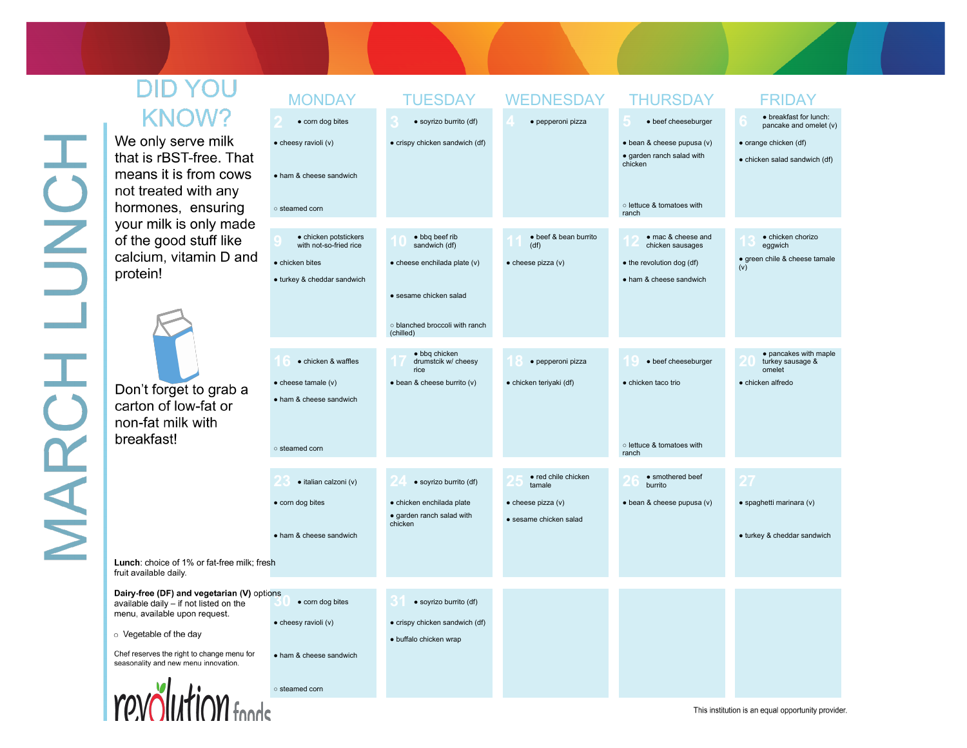## **DID YOU KNOV**

| Y OU                                                                                                                                                                                                                                  | <b>MONDAY</b>                                                                                     | <b>TUESDAY</b>                                                                                                              | <b>WEDNESDAY</b>                                            | <b>THURSDAY</b>                                                                                | <b>FRIDAY</b>                                                            |
|---------------------------------------------------------------------------------------------------------------------------------------------------------------------------------------------------------------------------------------|---------------------------------------------------------------------------------------------------|-----------------------------------------------------------------------------------------------------------------------------|-------------------------------------------------------------|------------------------------------------------------------------------------------------------|--------------------------------------------------------------------------|
| <b>KNOW?</b>                                                                                                                                                                                                                          | • corn dog bites                                                                                  | · soyrizo burrito (df)                                                                                                      | · pepperoni pizza                                           | · beef cheeseburger                                                                            | • breakfast for lunch:<br>pancake and omelet (v)                         |
| We only serve milk<br>that is rBST-free. That<br>means it is from cows<br>not treated with any                                                                                                                                        | $\bullet$ cheesy ravioli (v)<br>• ham & cheese sandwich                                           | · crispy chicken sandwich (df)                                                                                              |                                                             | · bean & cheese pupusa (v)<br>• garden ranch salad with<br>chicken                             | · orange chicken (df)<br>· chicken salad sandwich (df)                   |
| hormones, ensuring                                                                                                                                                                                                                    | o steamed corn                                                                                    |                                                                                                                             |                                                             | o lettuce & tomatoes with<br>ranch                                                             |                                                                          |
| your milk is only made<br>of the good stuff like<br>calcium, vitamin D and<br>protein!                                                                                                                                                | · chicken potstickers<br>with not-so-fried rice<br>• chicken bites<br>· turkey & cheddar sandwich | · bbq beef rib<br>sandwich (df)<br>· cheese enchilada plate (v)<br>· sesame chicken salad<br>o blanched broccoli with ranch | · beef & bean burrito<br>(df)<br>$\bullet$ cheese pizza (v) | · mac & cheese and<br>chicken sausages<br>• the revolution dog (df)<br>• ham & cheese sandwich | · chicken chorizo<br>eggwich<br>· green chile & cheese tamale<br>(v)     |
| Don't forget to grab a<br>carton of low-fat or<br>non-fat milk with<br>breakfast!                                                                                                                                                     | • chicken & waffles<br>$\bullet$ cheese tamale (v)<br>• ham & cheese sandwich<br>o steamed corn   | (chilled)<br>· bbq chicken<br>drumstcik w/ cheesy<br>rice<br>· bean & cheese burrito (v)                                    | · pepperoni pizza<br>· chicken teriyaki (df)                | · beef cheeseburger<br>· chicken taco trio<br>o lettuce & tomatoes with<br>ranch               | · pancakes with maple<br>turkey sausage &<br>omelet<br>· chicken alfredo |
|                                                                                                                                                                                                                                       | · italian calzoni (v)                                                                             | · soyrizo burrito (df)                                                                                                      | · red chile chicken<br>tamale                               | • smothered beef<br>burrito                                                                    | 27                                                                       |
|                                                                                                                                                                                                                                       | • corn dog bites<br>• ham & cheese sandwich                                                       | · chicken enchilada plate<br>· garden ranch salad with<br>chicken                                                           | $\bullet$ cheese pizza (v)<br>• sesame chicken salad        | · bean & cheese pupusa (v)                                                                     | · spaghetti marinara (v)<br>· turkey & cheddar sandwich                  |
| Lunch: choice of 1% or fat-free milk; fresh<br>fruit available daily.                                                                                                                                                                 |                                                                                                   |                                                                                                                             |                                                             |                                                                                                |                                                                          |
| Dairy-free (DF) and vegetarian (V) options<br>available daily - if not listed on the<br>menu, available upon request.<br>o Vegetable of the day<br>Chef reserves the right to change menu for<br>seasonality and new menu innovation. | • corn dog bites<br>· cheesy ravioli (v)<br>• ham & cheese sandwich                               | · soyrizo burrito (df)<br>· crispy chicken sandwich (df)<br>· buffalo chicken wrap                                          |                                                             |                                                                                                |                                                                          |
| $\frac{1}{2}$ lution foods                                                                                                                                                                                                            | o steamed corn                                                                                    |                                                                                                                             |                                                             |                                                                                                | This institution is an equal opportunity provide                         |

LUNCH MARCH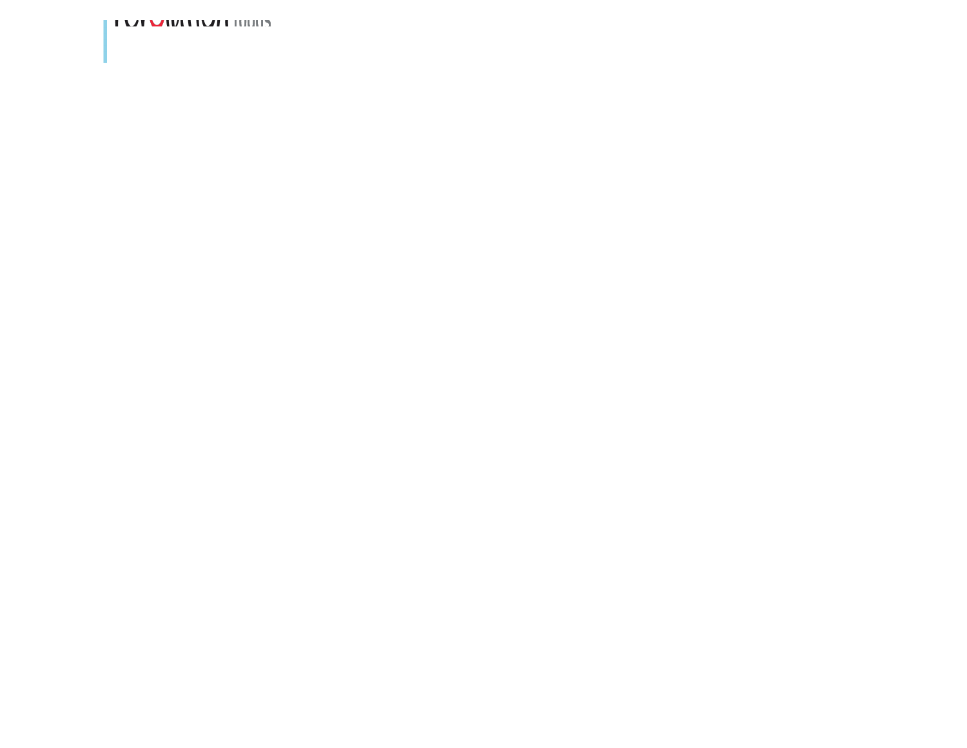**I LAT MINITARI HUULS**